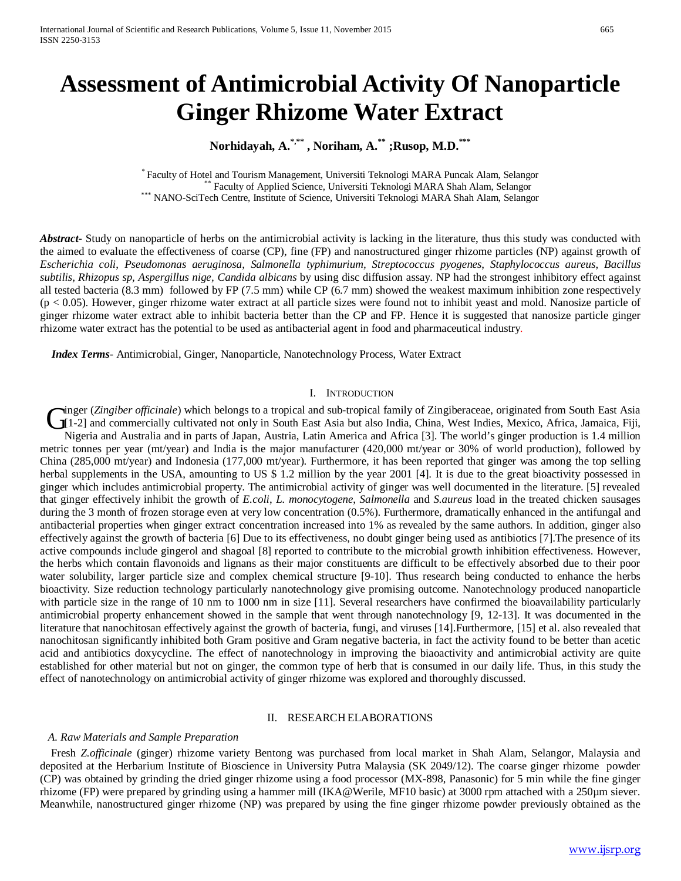# **Assessment of Antimicrobial Activity Of Nanoparticle Ginger Rhizome Water Extract**

# **Norhidayah, A.\*,\*\* , Noriham, A.\*\* ;Rusop, M.D.\*\*\***

Faculty of Hotel and Tourism Management, Universiti Teknologi MARA Puncak Alam, Selangor \*\*\* Faculty of Applied Science, Universiti Teknologi MARA Shah Alam, Selangor<br>\*\*\* NANO-SciTech Centre, Institute of Science, Universi

*Abstract***-** Study on nanoparticle of herbs on the antimicrobial activity is lacking in the literature, thus this study was conducted with the aimed to evaluate the effectiveness of coarse (CP), fine (FP) and nanostructured ginger rhizome particles (NP) against growth of *Escherichia coli*, *Pseudomonas aeruginosa*, *Salmonella typhimurium, Streptococcus pyogenes*, *Staphylococcus aureus*, *Bacillus subtilis, Rhizopus sp, Aspergillus nige, Candida albicans* by using disc diffusion assay. NP had the strongest inhibitory effect against all tested bacteria (8.3 mm) followed by FP (7.5 mm) while CP (6.7 mm) showed the weakest maximum inhibition zone respectively  $(p < 0.05)$ . However, ginger rhizome water extract at all particle sizes were found not to inhibit yeast and mold. Nanosize particle of ginger rhizome water extract able to inhibit bacteria better than the CP and FP. Hence it is suggested that nanosize particle ginger rhizome water extract has the potential to be used as antibacterial agent in food and pharmaceutical industry.

 *Index Terms*- Antimicrobial, Ginger, Nanoparticle, Nanotechnology Process, Water Extract

#### I. INTRODUCTION

inger (*Zingiber officinale*) which belongs to a tropical and sub-tropical family of Zingiberaceae, originated from South East Asia Inger (Zingiber officinale) which belongs to a tropical and sub-tropical family of Zingiberaceae, originated from South East Asia (I1-2) and commercially cultivated not only in South East Asia but also India, China, West I Nigeria and Australia and in parts of Japan, Austria, Latin America and Africa [3]. The world's ginger production is 1.4 million metric tonnes per year (mt/year) and India is the major manufacturer (420,000 mt/year or 30% of world production), followed by China (285,000 mt/year) and Indonesia (177,000 mt/year). Furthermore, it has been reported that ginger was among the top selling herbal supplements in the USA, amounting to US \$ 1.2 million by the year 2001 [4]. It is due to the great bioactivity possessed in ginger which includes antimicrobial property. The antimicrobial activity of ginger was well documented in the literature. [5] revealed that ginger effectively inhibit the growth of *E.coli*, *L. monocytogene*, *Salmonella* and *S.aureus* load in the treated chicken sausages during the 3 month of frozen storage even at very low concentration (0.5%). Furthermore, dramatically enhanced in the antifungal and antibacterial properties when ginger extract concentration increased into 1% as revealed by the same authors. In addition, ginger also effectively against the growth of bacteria [6] Due to its effectiveness, no doubt ginger being used as antibiotics [7].The presence of its active compounds include gingerol and shagoal [8] reported to contribute to the microbial growth inhibition effectiveness. However, the herbs which contain flavonoids and lignans as their major constituents are difficult to be effectively absorbed due to their poor water solubility, larger particle size and complex chemical structure [9-10]. Thus research being conducted to enhance the herbs bioactivity. Size reduction technology particularly nanotechnology give promising outcome. Nanotechnology produced nanoparticle with particle size in the range of 10 nm to 1000 nm in size [11]. Several researchers have confirmed the bioavailability particularly antimicrobial property enhancement showed in the sample that went through nanotechnology [9, 12-13]. It was documented in the literature that nanochitosan effectively against the growth of bacteria, fungi, and viruses [14].Furthermore, [15] et al. also revealed that nanochitosan significantly inhibited both Gram positive and Gram negative bacteria, in fact the activity found to be better than acetic acid and antibiotics doxycycline. The effect of nanotechnology in improving the biaoactivity and antimicrobial activity are quite established for other material but not on ginger, the common type of herb that is consumed in our daily life. Thus, in this study the effect of nanotechnology on antimicrobial activity of ginger rhizome was explored and thoroughly discussed.

#### II. RESEARCH ELABORATIONS

#### *A. Raw Materials and Sample Preparation*

 Fresh *Z.officinale* (ginger) rhizome variety Bentong was purchased from local market in Shah Alam, Selangor, Malaysia and deposited at the Herbarium Institute of Bioscience in University Putra Malaysia (SK 2049/12). The coarse ginger rhizome powder (CP) was obtained by grinding the dried ginger rhizome using a food processor (MX-898, Panasonic) for 5 min while the fine ginger rhizome (FP) were prepared by grinding using a hammer mill (IKA@Werile, MF10 basic) at 3000 rpm attached with a 250µm siever. Meanwhile, nanostructured ginger rhizome (NP) was prepared by using the fine ginger rhizome powder previously obtained as the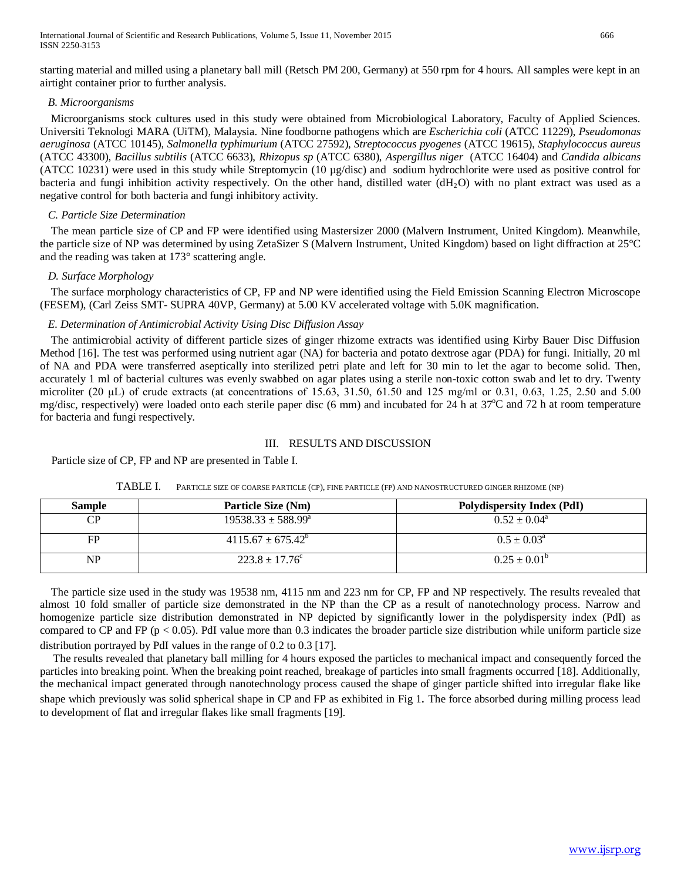International Journal of Scientific and Research Publications, Volume 5, Issue 11, November 2015 666 ISSN 2250-3153

starting material and milled using a planetary ball mill (Retsch PM 200, Germany) at 550 rpm for 4 hours. All samples were kept in an airtight container prior to further analysis.

# *B. Microorganisms*

 Microorganisms stock cultures used in this study were obtained from Microbiological Laboratory, Faculty of Applied Sciences. Universiti Teknologi MARA (UiTM), Malaysia. Nine foodborne pathogens which are *Escherichia coli* (ATCC 11229), *Pseudomonas aeruginosa* (ATCC 10145), *Salmonella typhimurium* (ATCC 27592), *Streptococcus pyogenes* (ATCC 19615), *Staphylococcus aureus* (ATCC 43300), *Bacillus subtilis* (ATCC 6633), *Rhizopus sp* (ATCC 6380), *Aspergillus niger* (ATCC 16404) and *Candida albicans* (ATCC 10231) were used in this study while Streptomycin (10 µg/disc) and sodium hydrochlorite were used as positive control for bacteria and fungi inhibition activity respectively. On the other hand, distilled water  $(dH<sub>2</sub>O)$  with no plant extract was used as a negative control for both bacteria and fungi inhibitory activity.

### *C. Particle Size Determination*

 The mean particle size of CP and FP were identified using Mastersizer 2000 (Malvern Instrument, United Kingdom). Meanwhile, the particle size of NP was determined by using ZetaSizer S (Malvern Instrument, United Kingdom) based on light diffraction at 25°C and the reading was taken at 173° scattering angle.

### *D. Surface Morphology*

 The surface morphology characteristics of CP, FP and NP were identified using the Field Emission Scanning Electron Microscope (FESEM), (Carl Zeiss SMT- SUPRA 40VP, Germany) at 5.00 KV accelerated voltage with 5.0K magnification.

### *E. Determination of Antimicrobial Activity Using Disc Diffusion Assay*

 The antimicrobial activity of different particle sizes of ginger rhizome extracts was identified using Kirby Bauer Disc Diffusion Method [16]. The test was performed using nutrient agar (NA) for bacteria and potato dextrose agar (PDA) for fungi. Initially, 20 ml of NA and PDA were transferred aseptically into sterilized petri plate and left for 30 min to let the agar to become solid. Then, accurately 1 ml of bacterial cultures was evenly swabbed on agar plates using a sterile non-toxic cotton swab and let to dry. Twenty microliter (20 μL) of crude extracts (at concentrations of 15.63, 31.50, 61.50 and 125 mg/ml or 0.31, 0.63, 1.25, 2.50 and 5.00 mg/disc, respectively) were loaded onto each sterile paper disc (6 mm) and incubated for 24 h at 37°C and 72 h at room temperature for bacteria and fungi respectively.

## III. RESULTS AND DISCUSSION

Particle size of CP, FP and NP are presented in Table I.

| <b>Sample</b> | Particle Size (Nm)          | <b>Polydispersity Index (PdI)</b> |
|---------------|-----------------------------|-----------------------------------|
| CP            | $19538.33 + 588.99^{\circ}$ | $0.52 \pm 0.04^{\circ}$           |
| FP            | $4115.67 + 675.42^b$        | $0.5 \pm 0.03^{\circ}$            |
| NP            | $223.8 \pm 17.76^{\circ}$   | $0.25 \pm 0.01^{\circ}$           |

TABLE I. PARTICLE SIZE OF COARSE PARTICLE (CP), FINE PARTICLE (FP) AND NANOSTRUCTURED GINGER RHIZOME (NP)

 The particle size used in the study was 19538 nm, 4115 nm and 223 nm for CP, FP and NP respectively. The results revealed that almost 10 fold smaller of particle size demonstrated in the NP than the CP as a result of nanotechnology process. Narrow and homogenize particle size distribution demonstrated in NP depicted by significantly lower in the polydispersity index (PdI) as compared to CP and FP ( $p < 0.05$ ). PdI value more than 0.3 indicates the broader particle size distribution while uniform particle size distribution portrayed by PdI values in the range of 0.2 to 0.3 [17].<br>The results revealed that planetary ball milling for 4 hours exposed the particles to mechanical impact and consequently forced the

particles into breaking point. When the breaking point reached, breakage of particles into small fragments occurred [18]. Additionally, the mechanical impact generated through nanotechnology process caused the shape of ginger particle shifted into irregular flake like shape which previously was solid spherical shape in CP and FP as exhibited in Fig 1. The force absorbed during milling process lead to development of flat and irregular flakes like small fragments [19].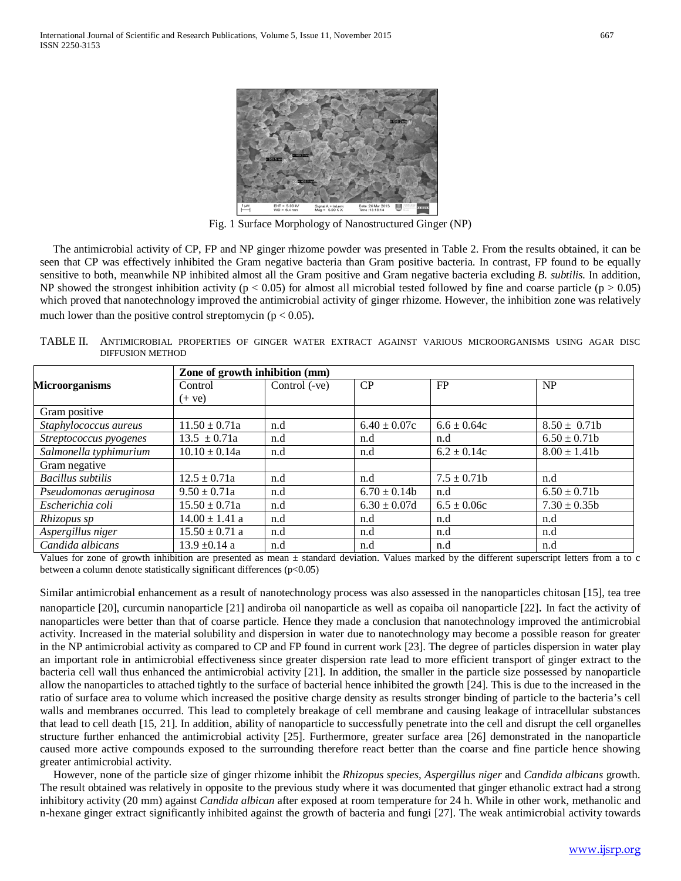

Fig. 1 Surface Morphology of Nanostructured Ginger (NP)

 The antimicrobial activity of CP, FP and NP ginger rhizome powder was presented in Table 2. From the results obtained, it can be seen that CP was effectively inhibited the Gram negative bacteria than Gram positive bacteria. In contrast, FP found to be equally sensitive to both, meanwhile NP inhibited almost all the Gram positive and Gram negative bacteria excluding *B. subtilis.* In addition, NP showed the strongest inhibition activity ( $p < 0.05$ ) for almost all microbial tested followed by fine and coarse particle ( $p > 0.05$ ) which proved that nanotechnology improved the antimicrobial activity of ginger rhizome. However, the inhibition zone was relatively much lower than the positive control streptomycin ( $p < 0.05$ ).

TABLE II. ANTIMICROBIAL PROPERTIES OF GINGER WATER EXTRACT AGAINST VARIOUS MICROORGANISMS USING AGAR DISC DIFFUSION METHOD

|                          | Zone of growth inhibition (mm) |               |                  |                 |                  |
|--------------------------|--------------------------------|---------------|------------------|-----------------|------------------|
| <b>Microorganisms</b>    | Control                        | Control (-ve) | CP               | FP              | <b>NP</b>        |
|                          | $(+ve)$                        |               |                  |                 |                  |
| Gram positive            |                                |               |                  |                 |                  |
| Staphylococcus aureus    | $11.50 \pm 0.71a$              | n.d           | $6.40 \pm 0.07c$ | $6.6 \pm 0.64c$ | $8.50 \pm 0.71b$ |
| Streptococcus pyogenes   | $13.5 \pm 0.71a$               | n.d           | n.d              | n.d             | $6.50 \pm 0.71$  |
| Salmonella typhimurium   | $10.10 \pm 0.14a$              | n.d           | n.d              | $6.2 \pm 0.14c$ | $8.00 \pm 1.41$  |
| Gram negative            |                                |               |                  |                 |                  |
| <b>Bacillus</b> subtilis | $12.5 \pm 0.71a$               | n.d           | n.d              | $7.5 \pm 0.71$  | n.d              |
| Pseudomonas aeruginosa   | $9.50 \pm 0.71a$               | n.d           | $6.70 \pm 0.14b$ | n.d             | $6.50 \pm 0.71$  |
| Escherichia coli         | $15.50 \pm 0.71a$              | n.d           | $6.30 \pm 0.07d$ | $6.5 \pm 0.06c$ | $7.30 \pm 0.35b$ |
| Rhizopus sp              | $14.00 \pm 1.41$ a             | n.d           | n.d              | n.d             | n.d              |
| Aspergillus niger        | $15.50 \pm 0.71$ a             | n.d           | n.d              | n.d             | n.d              |
| Candida albicans         | $13.9 \pm 0.14$ a              | n.d           | n.d              | n.d             | n.d              |

Values for zone of growth inhibition are presented as mean  $\pm$  standard deviation. Values marked by the different superscript letters from a to c between a column denote statistically significant differences (p<0.05)

Similar antimicrobial enhancement as a result of nanotechnology process was also assessed in the nanoparticles chitosan [15], tea tree nanoparticle [20], curcumin nanoparticle [21] andiroba oil nanoparticle as well as copaiba oil nanoparticle [22]. In fact the activity of nanoparticles were better than that of coarse particle. Hence they made a conclusion that nanotechnology improved the antimicrobial activity. Increased in the material solubility and dispersion in water due to nanotechnology may become a possible reason for greater in the NP antimicrobial activity as compared to CP and FP found in current work [23]. The degree of particles dispersion in water play an important role in antimicrobial effectiveness since greater dispersion rate lead to more efficient transport of ginger extract to the bacteria cell wall thus enhanced the antimicrobial activity [21]. In addition, the smaller in the particle size possessed by nanoparticle allow the nanoparticles to attached tightly to the surface of bacterial hence inhibited the growth [24]. This is due to the increased in the ratio of surface area to volume which increased the positive charge density as results stronger binding of particle to the bacteria's cell walls and membranes occurred. This lead to completely breakage of cell membrane and causing leakage of intracellular substances that lead to cell death [15, 21]. In addition, ability of nanoparticle to successfully penetrate into the cell and disrupt the cell organelles structure further enhanced the antimicrobial activity [25]. Furthermore, greater surface area [26] demonstrated in the nanoparticle caused more active compounds exposed to the surrounding therefore react better than the coarse and fine particle hence showing greater antimicrobial activity.

 However, none of the particle size of ginger rhizome inhibit the *Rhizopus species, Aspergillus niger* and *Candida albicans* growth. The result obtained was relatively in opposite to the previous study where it was documented that ginger ethanolic extract had a strong inhibitory activity (20 mm) against *Candida albican* after exposed at room temperature for 24 h. While in other work, methanolic and n-hexane ginger extract significantly inhibited against the growth of bacteria and fungi [27]. The weak antimicrobial activity towards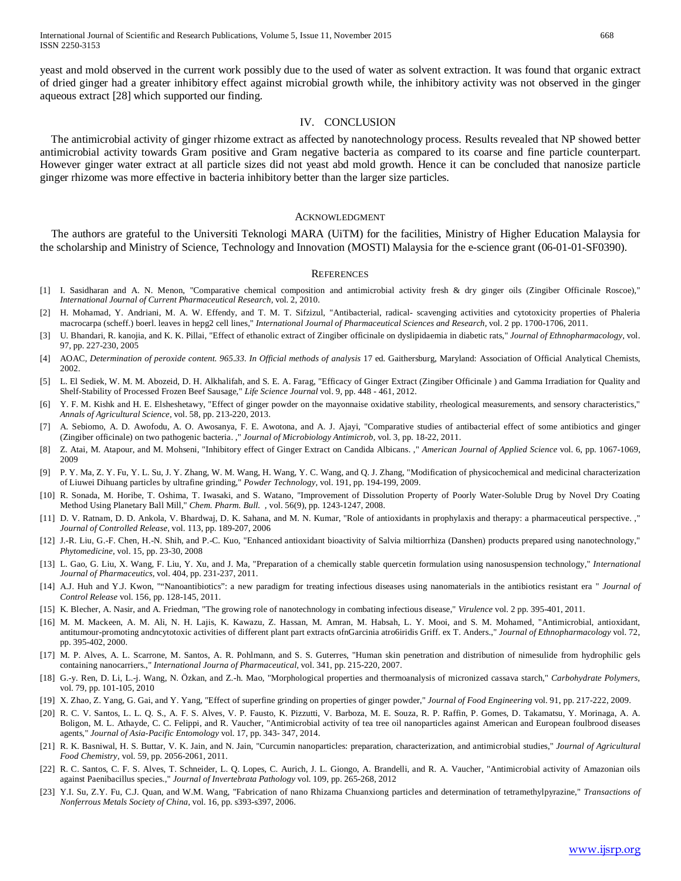yeast and mold observed in the current work possibly due to the used of water as solvent extraction. It was found that organic extract of dried ginger had a greater inhibitory effect against microbial growth while, the inhibitory activity was not observed in the ginger aqueous extract [28] which supported our finding.

#### IV. CONCLUSION

 The antimicrobial activity of ginger rhizome extract as affected by nanotechnology process. Results revealed that NP showed better antimicrobial activity towards Gram positive and Gram negative bacteria as compared to its coarse and fine particle counterpart. However ginger water extract at all particle sizes did not yeast abd mold growth. Hence it can be concluded that nanosize particle ginger rhizome was more effective in bacteria inhibitory better than the larger size particles.

#### ACKNOWLEDGMENT

The authors are grateful to the Universiti Teknologi MARA (UiTM) for the facilities, Ministry of Higher Education Malaysia for the scholarship and Ministry of Science, Technology and Innovation (MOSTI) Malaysia for the e-science grant (06-01-01-SF0390).

#### **REFERENCES**

- [1] I. Sasidharan and A. N. Menon, "Comparative chemical composition and antimicrobial activity fresh & dry ginger oils (Zingiber Officinale Roscoe)," *International Journal of Current Pharmaceutical Research,* vol. 2, 2010.
- H. Mohamad, Y. Andriani, M. A. W. Effendy, and T. M. T. Sifzizul, "Antibacterial, radical- scavenging activities and cytotoxicity properties of Phaleria macrocarpa (scheff.) boerl. leaves in hepg2 cell lines," *International Journal of Pharmaceutical Sciences and Research,* vol. 2 pp. 1700-1706, 2011.
- [3] U. Bhandari, R. kanojia, and K. K. Pillai, "Effect of ethanolic extract of Zingiber officinale on dyslipidaemia in diabetic rats," *Journal of Ethnopharmacology,* vol. 97, pp. 227-230, 2005
- [4] AOAC, *Determination of peroxide content. 965.33. In Official methods of analysis* 17 ed. Gaithersburg, Maryland: Association of Official Analytical Chemists, 2002.
- [5] L. El Sediek, W. M. M. Abozeid, D. H. Alkhalifah, and S. E. A. Farag, "Efficacy of Ginger Extract (Zingiber Officinale ) and Gamma Irradiation for Quality and Shelf-Stability of Processed Frozen Beef Sausage," *Life Science Journal* vol. 9, pp. 448 - 461, 2012.
- [6] Y. F. M. Kishk and H. E. Elsheshetawy, "Effect of ginger powder on the mayonnaise oxidative stability, rheological measurements, and sensory characteristics," *Annals of Agricultural Science,* vol. 58, pp. 213-220, 2013.
- [7] A. Sebiomo, A. D. Awofodu, A. O. Awosanya, F. E. Awotona, and A. J. Ajayi, "Comparative studies of antibacterial effect of some antibiotics and ginger (Zingiber officinale) on two pathogenic bacteria. ," *Journal of Microbiology Antimicrob,* vol. 3, pp. 18-22, 2011.
- [8] Z. Atai, M. Atapour, and M. Mohseni, "Inhibitory effect of Ginger Extract on Candida Albicans. ," *American Journal of Applied Science* vol. 6, pp. 1067-1069, 2009
- [9] P. Y. Ma, Z. Y. Fu, Y. L. Su, J. Y. Zhang, W. M. Wang, H. Wang, Y. C. Wang, and Q. J. Zhang, "Modification of physicochemical and medicinal characterization of Liuwei Dihuang particles by ultrafine grinding," *Powder Technology,* vol. 191, pp. 194-199, 2009.
- [10] R. Sonada, M. Horibe, T. Oshima, T. Iwasaki, and S. Watano, "Improvement of Dissolution Property of Poorly Water-Soluble Drug by Novel Dry Coating Method Using Planetary Ball Mill," *Chem. Pharm. Bull. ,* vol. 56(9), pp. 1243-1247, 2008.
- [11] D. V. Ratnam, D. D. Ankola, V. Bhardwaj, D. K. Sahana, and M. N. Kumar, "Role of antioxidants in prophylaxis and therapy: a pharmaceutical perspective. ," *Journal of Controlled Release,* vol. 113, pp. 189-207, 2006
- [12] J.-R. Liu, G.-F. Chen, H.-N. Shih, and P.-C. Kuo, "Enhanced antioxidant bioactivity of Salvia miltiorrhiza (Danshen) products prepared using nanotechnology," *Phytomedicine,* vol. 15, pp. 23-30, 2008
- [13] L. Gao, G. Liu, X. Wang, F. Liu, Y. Xu, and J. Ma, "Preparation of a chemically stable quercetin formulation using nanosuspension technology," *International Journal of Pharmaceutics,* vol. 404, pp. 231-237, 2011.
- [14] A.J. Huh and Y.J. Kwon, ""Nanoantibiotics": a new paradigm for treating infectious diseases using nanomaterials in the antibiotics resistant era " *Journal of Control Release* vol. 156, pp. 128-145, 2011.
- [15] K. Blecher, A. Nasir, and A. Friedman, "The growing role of nanotechnology in combating infectious disease," *Virulence* vol. 2 pp. 395-401, 2011.
- [16] M. M. Mackeen, A. M. Ali, N. H. Lajis, K. Kawazu, Z. Hassan, M. Amran, M. Habsah, L. Y. Mooi, and S. M. Mohamed, "Antimicrobial, antioxidant, antitumour-promoting andncytotoxic activities of different plant part extracts ofnGarcinia atro6iridis Griff. ex T. Anders.," *Journal of Ethnopharmacology* vol. 72, pp. 395-402, 2000.
- [17] M. P. Alves, A. L. Scarrone, M. Santos, A. R. Pohlmann, and S. S. Guterres, "Human skin penetration and distribution of nimesulide from hydrophilic gels containing nanocarriers.," *International Journa of Pharmaceutical,* vol. 341, pp. 215-220, 2007.
- [18] G.-y. Ren, D. Li, L.-j. Wang, N. Özkan, and Z.-h. Mao, "Morphological properties and thermoanalysis of micronized cassava starch," *Carbohydrate Polymers,*  vol. 79, pp. 101-105, 2010
- [19] X. Zhao, Z. Yang, G. Gai, and Y. Yang, "Effect of superfine grinding on properties of ginger powder," *Journal of Food Engineering* vol. 91, pp. 217-222, 2009.
- [20] R. C. V. Santos, L. L. Q. S., A. F. S. Alves, V. P. Fausto, K. Pizzutti, V. Barboza, M. E. Souza, R. P. Raffin, P. Gomes, D. Takamatsu, Y. Morinaga, A. A. Boligon, M. L. Athayde, C. C. Felippi, and R. Vaucher, "Antimicrobial activity of tea tree oil nanoparticles against American and European foulbrood diseases agents," *Journal of Asia-Pacific Entomology* vol. 17, pp. 343- 347, 2014.
- [21] R. K. Basniwal, H. S. Buttar, V. K. Jain, and N. Jain, "Curcumin nanoparticles: preparation, characterization, and antimicrobial studies," *Journal of Agricultural Food Chemistry,* vol. 59, pp. 2056-2061, 2011.
- [22] R. C. Santos, C. F. S. Alves, T. Schneider, L. Q. Lopes, C. Aurich, J. L. Giongo, A. Brandelli, and R. A. Vaucher, "Antimicrobial activity of Amazonian oils against Paenibacillus species.," *Journal of Invertebrata Pathology* vol. 109, pp. 265-268, 2012
- [23] Y.I. Su, Z.Y. Fu, C.J. Quan, and W.M. Wang, "Fabrication of nano Rhizama Chuanxiong particles and determination of tetramethylpyrazine," *Transactions of Nonferrous Metals Society of China,* vol. 16, pp. s393-s397, 2006.